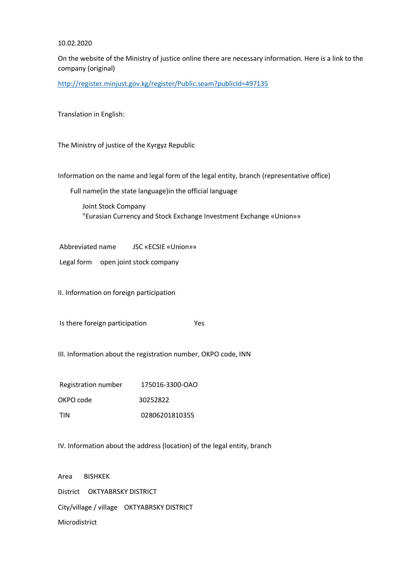## 10.02.2020

On the website of the Ministry of justice online there are necessary information. Here is a link to the company (original)

<http://register.minjust.gov.kg/register/Public.seam?publicId=497135>

Translation in English:

The Ministry of justice of the Kyrgyz Republic

Information on the name and legal form of the legal entity, branch (representative office)

Full name(in the state language)in the official language

Joint Stock Company "Eurasian Currency and Stock Exchange Investment Exchange «Union»»

Abbreviated name JSC «ECSIE «Union»»

Legal form open joint stock company

II. Information on foreign participation

Is there foreign participation Yes

III. Information about the registration number, OKPO code, INN

Registration number 175016-3300-ОАО OKPO code 30252822 TIN 02806201810355

IV. Information about the address (location) of the legal entity, branch

Area BISHKEK District OKTYABRSKY DISTRICT City/village / village OKTYABRSKY DISTRICT Microdistrict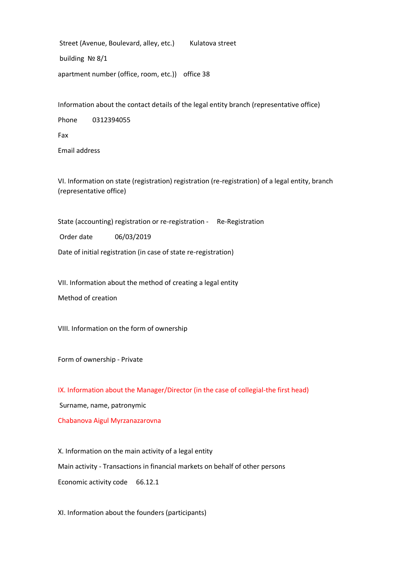Street (Avenue, Boulevard, alley, etc.) Kulatova street building № 8/1 apartment number (office, room, etc.)) office 38

Information about the contact details of the legal entity branch (representative office)

Phone 0312394055

Fax

Email address

VI. Information on state (registration) registration (re-registration) of a legal entity, branch (representative office)

State (accounting) registration or re-registration - Re-Registration

Order date 06/03/2019

Date of initial registration (in case of state re-registration)

VII. Information about the method of creating a legal entity

Method of creation

VIII. Information on the form of ownership

Form of ownership - Private

IX. Information about the Manager/Director (in the case of collegial-the first head)

Surname, name, patronymic

Chabanova Aigul Myrzanazarovna

X. Information on the main activity of a legal entity Main activity - Transactions in financial markets on behalf of other persons Economic activity code 66.12.1

XI. Information about the founders (participants)